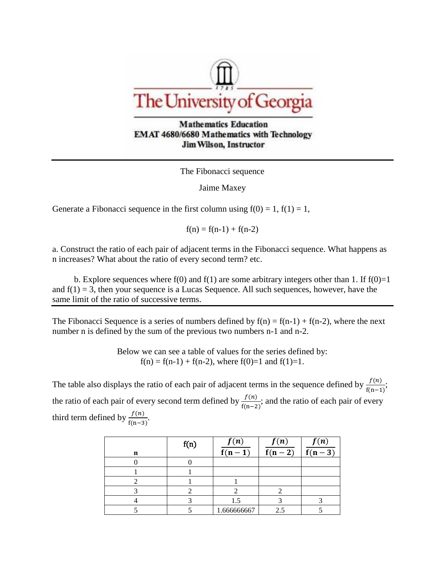

**Mathematics Education** EMAT 4680/6680 Mathematics with Technology **Jim Wilson, Instructor** 

The Fibonacci sequence

Jaime Maxey

Generate a Fibonacci sequence in the first column using  $f(0) = 1$ ,  $f(1) = 1$ ,

 $f(n) = f(n-1) + f(n-2)$ 

a. Construct the ratio of each pair of adjacent terms in the Fibonacci sequence. What happens as n increases? What about the ratio of every second term? etc.

b. Explore sequences where  $f(0)$  and  $f(1)$  are some arbitrary integers other than 1. If  $f(0)=1$ and  $f(1) = 3$ , then your sequence is a Lucas Sequence. All such sequences, however, have the same limit of the ratio of successive terms.

The Fibonacci Sequence is a series of numbers defined by  $f(n) = f(n-1) + f(n-2)$ , where the next number n is defined by the sum of the previous two numbers n-1 and n-2.

> Below we can see a table of values for the series defined by:  $f(n) = f(n-1) + f(n-2)$ , where  $f(0)=1$  and  $f(1)=1$ .

The table also displays the ratio of each pair of adjacent terms in the sequence defined by  $\frac{f(n)}{f(n-1)}$ ; the ratio of each pair of every second term defined by  $\frac{f(n)}{f(n)}$  $\frac{f(n)}{f(n-2)}$ ; and the ratio of each pair of every third term defined by  $\frac{f(n)}{f(n-3)}$ .

| n | f(n) | f(n)<br>$\overline{f(n-1)}$ | f(n)<br>$\overline{f(n-2)}$ | f(n)<br>$\overline{f(n-3)}$ |
|---|------|-----------------------------|-----------------------------|-----------------------------|
|   |      |                             |                             |                             |
|   |      |                             |                             |                             |
|   |      |                             |                             |                             |
|   |      |                             |                             |                             |
|   |      | 1.5                         |                             |                             |
|   |      | 1.666666667                 | ? 5                         |                             |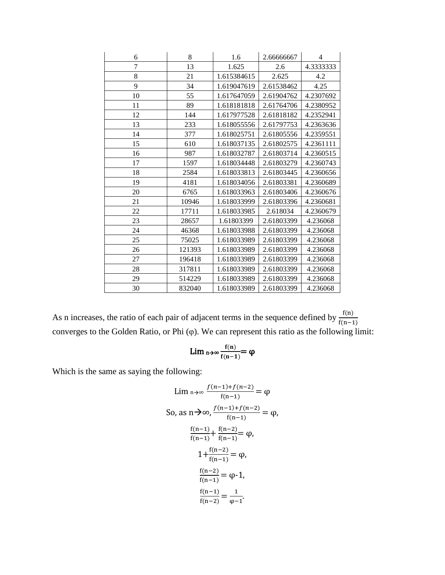| 6  | 8      | 1.6         | 2.66666667 | 4         |
|----|--------|-------------|------------|-----------|
| 7  | 13     | 1.625       | 2.6        | 4.3333333 |
| 8  | 21     | 1.615384615 | 2.625      | 4.2       |
| 9  | 34     | 1.619047619 | 2.61538462 | 4.25      |
| 10 | 55     | 1.617647059 | 2.61904762 | 4.2307692 |
| 11 | 89     | 1.618181818 | 2.61764706 | 4.2380952 |
| 12 | 144    | 1.617977528 | 2.61818182 | 4.2352941 |
| 13 | 233    | 1.618055556 | 2.61797753 | 4.2363636 |
| 14 | 377    | 1.618025751 | 2.61805556 | 4.2359551 |
| 15 | 610    | 1.618037135 | 2.61802575 | 4.2361111 |
| 16 | 987    | 1.618032787 | 2.61803714 | 4.2360515 |
| 17 | 1597   | 1.618034448 | 2.61803279 | 4.2360743 |
| 18 | 2584   | 1.618033813 | 2.61803445 | 4.2360656 |
| 19 | 4181   | 1.618034056 | 2.61803381 | 4.2360689 |
| 20 | 6765   | 1.618033963 | 2.61803406 | 4.2360676 |
| 21 | 10946  | 1.618033999 | 2.61803396 | 4.2360681 |
| 22 | 17711  | 1.618033985 | 2.618034   | 4.2360679 |
| 23 | 28657  | 1.61803399  | 2.61803399 | 4.236068  |
| 24 | 46368  | 1.618033988 | 2.61803399 | 4.236068  |
| 25 | 75025  | 1.618033989 | 2.61803399 | 4.236068  |
| 26 | 121393 | 1.618033989 | 2.61803399 | 4.236068  |
| 27 | 196418 | 1.618033989 | 2.61803399 | 4.236068  |
| 28 | 317811 | 1.618033989 | 2.61803399 | 4.236068  |
| 29 | 514229 | 1.618033989 | 2.61803399 | 4.236068  |
| 30 | 832040 | 1.618033989 | 2.61803399 | 4.236068  |

As n increases, the ratio of each pair of adjacent terms in the sequence defined by  $\frac{f(n)}{f(n-1)}$ converges to the Golden Ratio, or Phi (φ). We can represent this ratio as the following limit:

$$
Lim_{\;n\!\rightarrow\!\infty}\frac{f(n)}{f(n\!-\!1)}\!\!=\!\phi
$$

Which is the same as saying the following:

$$
\lim_{n \to \infty} \frac{f(n-1) + f(n-2)}{f(n-1)} = \varphi
$$
  
So, as  $n \to \infty$ ,  $\frac{f(n-1) + f(n-2)}{f(n-1)} = \varphi$ ,  

$$
\frac{f(n-1)}{f(n-1)} + \frac{f(n-2)}{f(n-1)} = \varphi
$$
,  

$$
1 + \frac{f(n-2)}{f(n-1)} = \varphi
$$
,  

$$
\frac{f(n-2)}{f(n-1)} = \varphi - 1
$$
,  

$$
\frac{f(n-1)}{f(n-2)} = \frac{1}{\varphi - 1}
$$
.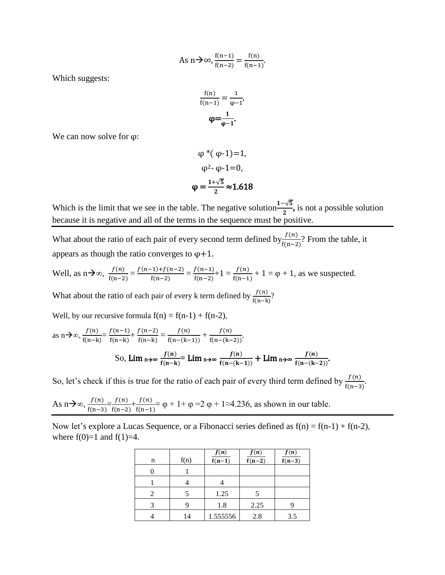As 
$$
n \to \infty
$$
,  $\frac{f(n-1)}{f(n-2)} = \frac{f(n)}{f(n-1)}$ .

Which suggests:

$$
\frac{f(n)}{f(n-1)} = \frac{1}{\phi - 1},
$$

$$
\varphi = \frac{1}{\phi - 1}.
$$

We can now solve for  $\varphi$ :

$$
\varphi^*(\varphi \cdot 1) = 1,
$$
  

$$
\varphi^2 \cdot \varphi \cdot 1 = 0,
$$
  

$$
\varphi = \frac{1 + \sqrt{5}}{2} \approx 1.618
$$

Which is the limit that we see in the table. The negative solution $\frac{1-\sqrt{5}}{2}$ , is not a possible solution because it is negative and all of the terms in the sequence must be positive.

What about the ratio of each pair of every second term defined by  $\frac{f(n)}{f(n-2)}$ ? From the table, it appears as though the ratio converges to  $\varphi$ +1.

Well, as 
$$
n \to \infty
$$
,  $\frac{f(n)}{f(n-2)} = \frac{f(n-1)+f(n-2)}{f(n-2)} = \frac{f(n-1)}{f(n-2)} + 1 = \frac{f(n)}{f(n-1)} + 1 = \varphi + 1$ , as we suspected.

What about the ratio of each pair of every k term defined by  $\frac{f(n)}{f(n-k)}$ ?

Well, by our recursive formula 
$$
f(n) = f(n-1) + f(n-2)
$$
,

as n
$$
\rightarrow \infty
$$
,  $\frac{f(n)}{f(n-k)} = \frac{f(n-1)}{f(n-k)} + \frac{f(n-2)}{f(n-k)} = \frac{f(n)}{f(n-(k-1))} + \frac{f(n)}{f(n-(k-2))}$ .  
So,  $\lim_{n \to \infty} \frac{f(n)}{f(n-k)} = \lim_{n \to \infty} \frac{f(n)}{f(n-(k-1))} + \lim_{n \to \infty} \frac{f(n)}{f(n-(k-2))}$ .

So, let's check if this is true for the ratio of each pair of every third term defined by  $\frac{f(n)}{f(n-3)}$ .

As 
$$
n \to \infty
$$
,  $\frac{f(n)}{f(n-3)} = \frac{f(n)}{f(n-2)} + \frac{f(n)}{f(n-1)} = \varphi + 1 + \varphi = 2 \varphi + 1 \approx 4.236$ , as shown in our table.

Now let's explore a Lucas Sequence, or a Fibonacci series defined as  $f(n) = f(n-1) + f(n-2)$ , where  $f(0)=1$  and  $f(1)=4$ .

|   |      | f(n)                | f(n)     | f(n)                |
|---|------|---------------------|----------|---------------------|
| n | f(n) | $\overline{f(n-1)}$ | $f(n-2)$ | $\overline{f(n-3)}$ |
|   |      |                     |          |                     |
|   |      |                     |          |                     |
|   |      | 1.25                |          |                     |
|   | 9    | 1.8                 | 2.25     |                     |
|   | 14   | 1.555556            | 2.8      | 3.5                 |